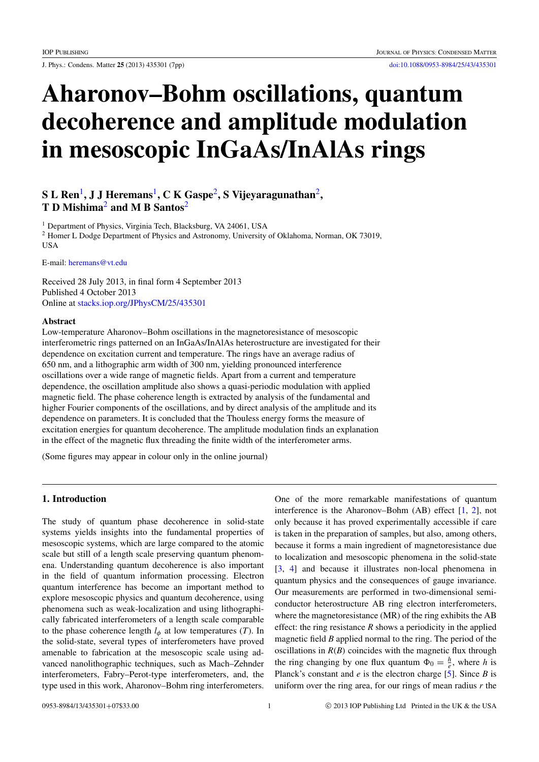# Aharonov–Bohm oscillations, quantum decoherence and amplitude modulation in mesoscopic InGaAs/InAlAs rings

# ${\bf S}\, {\bf L}\, {\bf Ren}^1, {\bf J}\, {\bf J}$  ${\bf S}\, {\bf L}\, {\bf Ren}^1, {\bf J}\, {\bf J}$  ${\bf S}\, {\bf L}\, {\bf Ren}^1, {\bf J}\, {\bf J}$  Heremans $^1, {\bf C}\, {\bf K}\, {\bf Gaspe}^2, {\bf S}\, {\bf V}$  $^1, {\bf C}\, {\bf K}\, {\bf Gaspe}^2, {\bf S}\, {\bf V}$  $^1, {\bf C}\, {\bf K}\, {\bf Gaspe}^2, {\bf S}\, {\bf V}$ ijeyaragunathan $^2,$ T D Mishima<sup>[2](#page-0-1)</sup> and M B Santos<sup>2</sup>

<span id="page-0-1"></span><span id="page-0-0"></span><sup>1</sup> Department of Physics, Virginia Tech, Blacksburg, VA 24061, USA <sup>2</sup> Homer L Dodge Department of Physics and Astronomy, University of Oklahoma, Norman, OK 73019, USA

E-mail: [heremans@vt.edu](mailto:heremans@vt.edu)

Received 28 July 2013, in final form 4 September 2013 Published 4 October 2013 Online at [stacks.iop.org/JPhysCM/25/435301](http://stacks.iop.org/JPhysCM/25/435301)

#### Abstract

Low-temperature Aharonov–Bohm oscillations in the magnetoresistance of mesoscopic interferometric rings patterned on an InGaAs/InAlAs heterostructure are investigated for their dependence on excitation current and temperature. The rings have an average radius of 650 nm, and a lithographic arm width of 300 nm, yielding pronounced interference oscillations over a wide range of magnetic fields. Apart from a current and temperature dependence, the oscillation amplitude also shows a quasi-periodic modulation with applied magnetic field. The phase coherence length is extracted by analysis of the fundamental and higher Fourier components of the oscillations, and by direct analysis of the amplitude and its dependence on parameters. It is concluded that the Thouless energy forms the measure of excitation energies for quantum decoherence. The amplitude modulation finds an explanation in the effect of the magnetic flux threading the finite width of the interferometer arms.

(Some figures may appear in colour only in the online journal)

## <span id="page-0-2"></span>1. Introduction

The study of quantum phase decoherence in solid-state systems yields insights into the fundamental properties of mesoscopic systems, which are large compared to the atomic scale but still of a length scale preserving quantum phenomena. Understanding quantum decoherence is also important in the field of quantum information processing. Electron quantum interference has become an important method to explore mesoscopic physics and quantum decoherence, using phenomena such as weak-localization and using lithographically fabricated interferometers of a length scale comparable to the phase coherence length  $l_{\phi}$  at low temperatures (*T*). In the solid-state, several types of interferometers have proved amenable to fabrication at the mesoscopic scale using advanced nanolithographic techniques, such as Mach–Zehnder interferometers, Fabry–Perot-type interferometers, and, the type used in this work, Aharonov–Bohm ring interferometers.

One of the more remarkable manifestations of quantum interference is the Aharonov–Bohm (AB) effect [\[1,](#page-5-0) [2\]](#page-5-1), not only because it has proved experimentally accessible if care is taken in the preparation of samples, but also, among others, because it forms a main ingredient of magnetoresistance due to localization and mesoscopic phenomena in the solid-state [\[3,](#page-5-2) [4\]](#page-5-3) and because it illustrates non-local phenomena in quantum physics and the consequences of gauge invariance. Our measurements are performed in two-dimensional semiconductor heterostructure AB ring electron interferometers, where the magnetoresistance (MR) of the ring exhibits the AB effect: the ring resistance  $R$  shows a periodicity in the applied magnetic field *B* applied normal to the ring. The period of the oscillations in  $R(B)$  coincides with the magnetic flux through the ring changing by one flux quantum  $\Phi_0 = \frac{h}{e}$ , where *h* is Planck's constant and *e* is the electron charge [\[5\]](#page-6-0). Since *B* is uniform over the ring area, for our rings of mean radius *r* the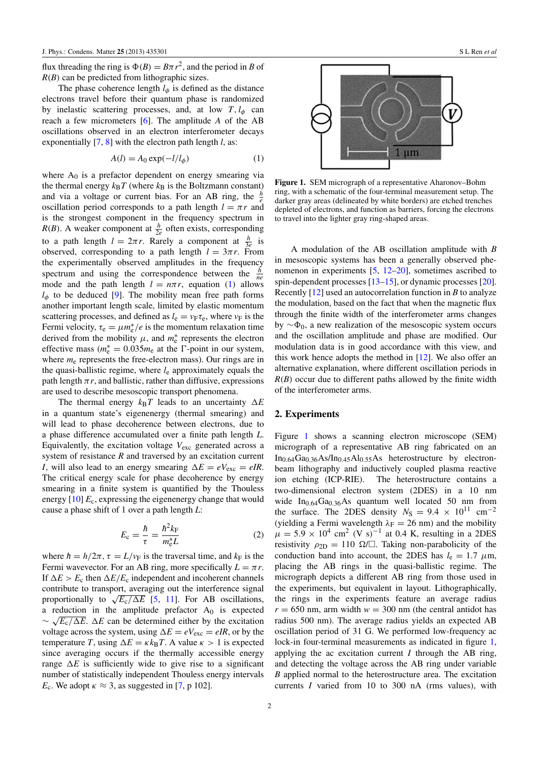flux threading the ring is  $\Phi(B) = B\pi r^2$ , and the period in *B* of *R*(*B*) can be predicted from lithographic sizes.

The phase coherence length  $l_{\phi}$  is defined as the distance electrons travel before their quantum phase is randomized by inelastic scattering processes, and, at low  $T$ ,  $l_{\phi}$  can reach a few micrometers [\[6\]](#page-6-1). The amplitude *A* of the AB oscillations observed in an electron interferometer decays exponentially [\[7,](#page-6-2) [8\]](#page-6-3) with the electron path length *l*, as:

$$
A(l) = A_0 \exp(-l/l_\phi)
$$
 (1)

where  $A_0$  is a prefactor dependent on energy smearing via the thermal energy  $k_B T$  (where  $k_B$  is the Boltzmann constant) and via a voltage or current bias. For an AB ring, the  $\frac{h}{e}$ oscillation period corresponds to a path length  $l = \pi r$  and is the strongest component in the frequency spectrum in *R*(*B*). A weaker component at  $\frac{h}{2e}$  often exists, corresponding to a path length  $l = 2\pi r$ . Rarely a component at  $\frac{h}{3e}$  is observed, corresponding to a path length  $l = 3\pi r$ . From the experimentally observed amplitudes in the frequency spectrum and using the correspondence between the  $\frac{h}{ne}$ mode and the path length  $l = n\pi r$ , equation [\(1\)](#page-1-0) allows  $l_{\phi}$  to be deduced [\[9\]](#page-6-4). The mobility mean free path forms another important length scale, limited by elastic momentum scattering processes, and defined as  $l_e = v_F \tau_e$ , where  $v_F$  is the Fermi velocity,  $\tau_e = \mu m_e^* / e$  is the momentum relaxation time derived from the mobility  $\mu$ , and  $m_e^*$  represents the electron effective mass  $(m_e^* = 0.035m_e$  at the  $\Gamma$ -point in our system, where  $m_e$  represents the free-electron mass). Our rings are in the quasi-ballistic regime, where *l*<sup>e</sup> approximately equals the path length  $\pi r$ , and ballistic, rather than diffusive, expressions are used to describe mesoscopic transport phenomena.

The thermal energy  $k_B T$  leads to an uncertainty  $\Delta E$ in a quantum state's eigenenergy (thermal smearing) and will lead to phase decoherence between electrons, due to a phase difference accumulated over a finite path length *L*. Equivalently, the excitation voltage *V*exc generated across a system of resistance *R* and traversed by an excitation current *I*, will also lead to an energy smearing  $\Delta E = eV_{\text{exc}} = eIR$ . The critical energy scale for phase decoherence by energy smearing in a finite system is quantified by the Thouless energy [\[10\]](#page-6-5)  $E_c$ , expressing the eigenenergy change that would cause a phase shift of 1 over a path length *L*:

$$
E_{\rm c} = \frac{\hbar}{\tau} = \frac{\hbar^2 k_{\rm F}}{m_{\rm c}^* L} \tag{2}
$$

where  $\hbar = h/2\pi$ ,  $\tau = L/v_F$  is the traversal time, and  $k_F$  is the Fermi wavevector. For an AB ring, more specifically  $L = \pi r$ . If  $\Delta E > E_c$  then  $\Delta E/E_c$  independent and incoherent channels contribute to transport, averaging out the interference signal contribute to transport, averaging out the interference signal<br>proportionally to  $\sqrt{E_c/\Delta E}$  [\[5,](#page-6-0) [11\]](#page-6-6). For AB oscillations, a reduction in the amplitude prefactor  $A_0$  is expected  $\sim \sqrt{E_c/\Delta E}$ .  $\Delta E$  can be determined either by the excitation voltage across the system, using  $\Delta E = eV_{\text{exc}} = eIR$ , or by the temperature *T*, using  $\Delta E = \kappa k_B T$ . A value  $\kappa > 1$  is expected since averaging occurs if the thermally accessible energy range  $\Delta E$  is sufficiently wide to give rise to a significant number of statistically independent Thouless energy intervals *E*<sub>c</sub>. We adopt  $\kappa \approx 3$ , as suggested in [\[7,](#page-6-2) p 102].

<span id="page-1-1"></span>

<span id="page-1-0"></span>Figure 1. SEM micrograph of a representative Aharonov–Bohm ring, with a schematic of the four-terminal measurement setup. The darker gray areas (delineated by white borders) are etched trenches depleted of electrons, and function as barriers, forcing the electrons to travel into the lighter gray ring-shaped areas.

A modulation of the AB oscillation amplitude with *B* in mesoscopic systems has been a generally observed phenomenon in experiments [\[5,](#page-6-0) [12–](#page-6-7)[20\]](#page-6-8), sometimes ascribed to spin-dependent processes [\[13–](#page-6-9)[15\]](#page-6-10), or dynamic processes [\[20\]](#page-6-8). Recently [\[12\]](#page-6-7) used an autocorrelation function in *B* to analyze the modulation, based on the fact that when the magnetic flux through the finite width of the interferometer arms changes by  $\sim \Phi_0$ , a new realization of the mesoscopic system occurs and the oscillation amplitude and phase are modified. Our modulation data is in good accordance with this view, and this work hence adopts the method in  $[12]$ . We also offer an alternative explanation, where different oscillation periods in  $R(B)$  occur due to different paths allowed by the finite width of the interferometer arms.

#### 2. Experiments

<span id="page-1-2"></span>Figure [1](#page-1-1) shows a scanning electron microscope (SEM) micrograph of a representative AB ring fabricated on an  $In<sub>0.64</sub>Ga<sub>0.36</sub>As/In<sub>0.45</sub>Al<sub>0.55</sub>As heterostructure by electron$ beam lithography and inductively coupled plasma reactive ion etching (ICP-RIE). The heterostructure contains a two-dimensional electron system (2DES) in a 10 nm wide  $In<sub>0.64</sub>Ga<sub>0.36</sub>As quantum well located 50 nm from$ the surface. The 2DES density  $N_S = 9.4 \times 10^{11}$  cm<sup>-2</sup> (yielding a Fermi wavelength  $\lambda_F = 26$  nm) and the mobility  $\mu = 5.9 \times 10^4$  cm<sup>2</sup> (V s)<sup>-1</sup> at 0.4 K, resulting in a 2DES resistivity  $\rho_{2D} = 110 \Omega / \Omega$ . Taking non-parabolicity of the conduction band into account, the 2DES has  $l_e = 1.7 \mu m$ , placing the AB rings in the quasi-ballistic regime. The micrograph depicts a different AB ring from those used in the experiments, but equivalent in layout. Lithographically, the rings in the experiments feature an average radius  $r = 650$  nm, arm width  $w = 300$  nm (the central antidot has radius 500 nm). The average radius yields an expected AB oscillation period of 31 G. We performed low-frequency ac lock-in four-terminal measurements as indicated in figure [1,](#page-1-1) applying the ac excitation current  $I$  through the AB ring, and detecting the voltage across the AB ring under variable *B* applied normal to the heterostructure area. The excitation currents *I* varied from 10 to 300 nA (rms values), with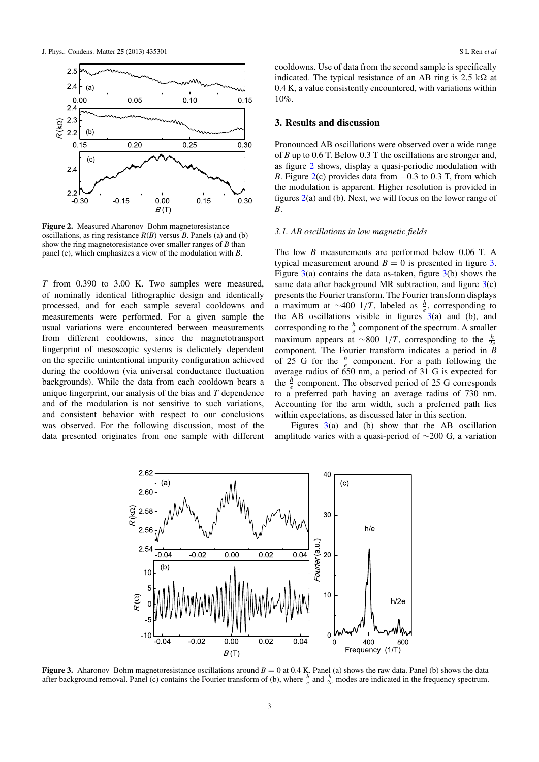<span id="page-2-0"></span>

Figure 2. Measured Aharonov–Bohm magnetoresistance oscillations, as ring resistance  $R(B)$  versus *B*. Panels (a) and (b) show the ring magnetoresistance over smaller ranges of *B* than panel (c), which emphasizes a view of the modulation with *B*.

*T* from 0.390 to 3.00 K. Two samples were measured, of nominally identical lithographic design and identically processed, and for each sample several cooldowns and measurements were performed. For a given sample the usual variations were encountered between measurements from different cooldowns, since the magnetotransport fingerprint of mesoscopic systems is delicately dependent on the specific unintentional impurity configuration achieved during the cooldown (via universal conductance fluctuation backgrounds). While the data from each cooldown bears a unique fingerprint, our analysis of the bias and *T* dependence and of the modulation is not sensitive to such variations, and consistent behavior with respect to our conclusions was observed. For the following discussion, most of the data presented originates from one sample with different cooldowns. Use of data from the second sample is specifically indicated. The typical resistance of an AB ring is  $2.5 \text{ k}\Omega$  at 0.4 K, a value consistently encountered, with variations within 10%.

#### 3. Results and discussion

Pronounced AB oscillations were observed over a wide range of *B* up to 0.6 T. Below 0.3 T the oscillations are stronger and, as figure [2](#page-2-0) shows, display a quasi-periodic modulation with *B*. Figure  $2(c)$  $2(c)$  provides data from  $-0.3$  to 0.3 T, from which the modulation is apparent. Higher resolution is provided in figures  $2(a)$  $2(a)$  and (b). Next, we will focus on the lower range of *B*.

#### *3.1. AB oscillations in low magnetic fields*

The low *B* measurements are performed below 0.06 T. A typical measurement around  $B = 0$  is presented in figure [3.](#page-2-1) Figure  $3(a)$  $3(a)$  contains the data as-taken, figure  $3(b)$  shows the same data after background MR subtraction, and figure  $3(c)$  $3(c)$ presents the Fourier transform. The Fourier transform displays a maximum at  $\sim$ 400 1/*T*, labeled as  $\frac{h}{e}$ , corresponding to the AB oscillations visible in figures  $3(a)$  $3(a)$  and (b), and corresponding to the  $\frac{h}{e}$  component of the spectrum. A smaller maximum appears at ∼800 1/*T*, corresponding to the *<sup>h</sup>* 2*e* component. The Fourier transform indicates a period in *B* of 25 G for the  $\frac{h}{e}$  component. For a path following the average radius of 650 nm, a period of 31 G is expected for the  $\frac{h}{e}$  component. The observed period of 25 G corresponds to a preferred path having an average radius of 730 nm. Accounting for the arm width, such a preferred path lies within expectations, as discussed later in this section.

Figures  $3(a)$  $3(a)$  and (b) show that the AB oscillation amplitude varies with a quasi-period of ∼200 G, a variation

<span id="page-2-1"></span>

**Figure 3.** Aharonov–Bohm magnetoresistance oscillations around  $B = 0$  at 0.4 K. Panel (a) shows the raw data. Panel (b) shows the data after background removal. Panel (c) contains the Fourier transform of (b), where  $\frac{h}{e}$  and  $\frac{h}{2e}$  modes are indicated in the frequency spectrum.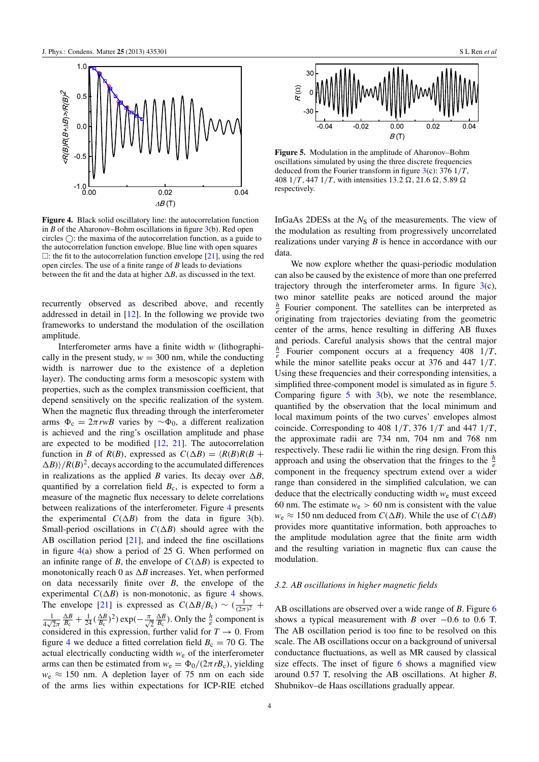<span id="page-3-0"></span>

Figure 4. Black solid oscillatory line: the autocorrelation function in *B* of the Aharonov–Bohm oscillations in figure [3\(](#page-2-1)b). Red open circles  $\bigcirc$ : the maxima of the autocorrelation function, as a guide to the autocorrelation function envelope. Blue line with open squares  $\Box$ : the fit to the autocorrelation function envelope [\[21\]](#page-6-11), using the red open circles. The use of a finite range of *B* leads to deviations between the fit and the data at higher  $\Delta B$ , as discussed in the text.

recurrently observed as described above, and recently addressed in detail in [\[12\]](#page-6-7). In the following we provide two frameworks to understand the modulation of the oscillation amplitude.

Interferometer arms have a finite width *w* (lithographically in the present study,  $w = 300$  nm, while the conducting width is narrower due to the existence of a depletion layer). The conducting arms form a mesoscopic system with properties, such as the complex transmission coefficient, that depend sensitively on the specific realization of the system. When the magnetic flux threading through the interferometer arms  $Φ<sub>c</sub> = 2π<sup>r</sup>wB$  varies by ∼ $Φ<sub>0</sub>$ , a different realization is achieved and the ring's oscillation amplitude and phase are expected to be modified [\[12,](#page-6-7) [21\]](#page-6-11). The autocorrelation function in *B* of *R*(*B*), expressed as  $C(\Delta B) = \langle R(B)R(B + \Delta B) \rangle$  $\Delta B$ ) $\frac{1}{R(B)^2}$ , decays according to the accumulated differences in realizations as the applied *B* varies. Its decay over  $\Delta B$ , quantified by a correlation field  $B<sub>c</sub>$ , is expected to form a measure of the magnetic flux necessary to delete correlations between realizations of the interferometer. Figure [4](#page-3-0) presents the experimental  $C(\Delta B)$  from the data in figure [3\(](#page-2-1)b). Small-period oscillations in  $C(\Delta B)$  should agree with the AB oscillation period [\[21\]](#page-6-11), and indeed the fine oscillations in figure [4\(](#page-3-0)a) show a period of 25 G. When performed on an infinite range of *B*, the envelope of  $C(\Delta B)$  is expected to monotonically reach 0 as  $\Delta B$  increases. Yet, when performed on data necessarily finite over *B*, the envelope of the experimental  $C(\Delta B)$  is non-monotonic, as figure [4](#page-3-0) shows. The envelope [\[21\]](#page-6-11) is expressed as  $C(\Delta B/B_c) \sim (\frac{1}{(2\pi)^2} +$ 1  $rac{1}{4\sqrt{2}\pi}$  $\frac{\Delta B}{B_c} + \frac{1}{24} (\frac{\Delta B}{B_c})^2) \exp(-\frac{\pi}{\sqrt{2}})$  $\frac{\Delta B}{B_c}$ ). Only the  $\frac{h}{e}$  component is considered in this expression, further valid for  $T \to 0$ . From figure [4](#page-3-0) we deduce a fitted correlation field  $B_c = 70$  G. The actual electrically conducting width *w*<sup>e</sup> of the interferometer arms can then be estimated from  $w_e = \Phi_0/(2\pi rB_c)$ , yielding  $w_e \approx 150$  nm. A depletion layer of 75 nm on each side of the arms lies within expectations for ICP-RIE etched

<span id="page-3-1"></span>

Figure 5. Modulation in the amplitude of Aharonov–Bohm oscillations simulated by using the three discrete frequencies deduced from the Fourier transform in figure [3\(](#page-2-1)c): 376 1/*T*, 408  $1/T$ , 447  $1/T$ , with intensities 13.2  $\Omega$ , 21.6  $\Omega$ , 5.89  $\Omega$ respectively.

InGaAs 2DESs at the *N*<sub>S</sub> of the measurements. The view of the modulation as resulting from progressively uncorrelated realizations under varying *B* is hence in accordance with our data.

We now explore whether the quasi-periodic modulation can also be caused by the existence of more than one preferred trajectory through the interferometer arms. In figure  $3(c)$  $3(c)$ , two minor satellite peaks are noticed around the major  $\frac{h}{e}$  Fourier component. The satellites can be interpreted as originating from trajectories deviating from the geometric center of the arms, hence resulting in differing AB fluxes and periods. Careful analysis shows that the central major  $\frac{h}{e}$  Fourier component occurs at a frequency 408 1/*T*, while the minor satellite peaks occur at 376 and 447 1/*T*. Using these frequencies and their corresponding intensities, a simplified three-component model is simulated as in figure [5.](#page-3-1) Comparing figure [5](#page-3-1) with  $3(b)$  $3(b)$ , we note the resemblance, quantified by the observation that the local minimum and local maximum points of the two curves' envelopes almost coincide. Corresponding to 408 1/*T*, 376 1/*T* and 447 1/*T*, the approximate radii are 734 nm, 704 nm and 768 nm respectively. These radii lie within the ring design. From this approach and using the observation that the fringes to the  $\frac{h}{e}$ component in the frequency spectrum extend over a wider range than considered in the simplified calculation, we can deduce that the electrically conducting width *w*<sup>e</sup> must exceed 60 nm. The estimate  $w_e > 60$  nm is consistent with the value  $w_e \approx 150$  nm deduced from  $C(\Delta B)$ . While the use of  $C(\Delta B)$ provides more quantitative information, both approaches to the amplitude modulation agree that the finite arm width and the resulting variation in magnetic flux can cause the modulation.

#### *3.2. AB oscillations in higher magnetic fields*

AB oscillations are observed over a wide range of *B*. Figure [6](#page-4-0) shows a typical measurement with *B* over  $-0.6$  to 0.6 T. The AB oscillation period is too fine to be resolved on this scale. The AB oscillations occur on a background of universal conductance fluctuations, as well as MR caused by classical size effects. The inset of figure [6](#page-4-0) shows a magnified view around 0.57 T, resolving the AB oscillations. At higher *B*, Shubnikov–de Haas oscillations gradually appear.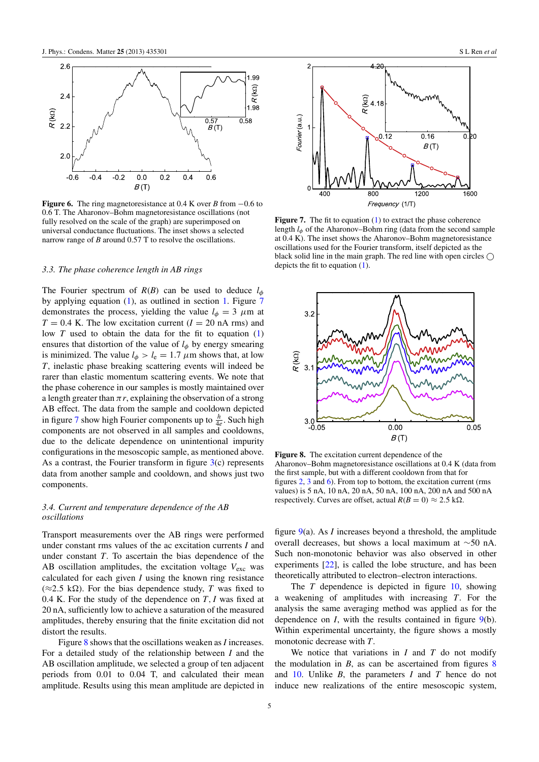<span id="page-4-0"></span>

Figure 6. The ring magnetoresistance at 0.4 K over *B* from −0.6 to 0.6 T. The Aharonov–Bohm magnetoresistance oscillations (not fully resolved on the scale of the graph) are superimposed on universal conductance fluctuations. The inset shows a selected narrow range of *B* around 0.57 T to resolve the oscillations.

#### *3.3. The phase coherence length in AB rings*

The Fourier spectrum of  $R(B)$  can be used to deduce  $l_{\phi}$ by applying equation [\(1\)](#page-1-0), as outlined in section [1.](#page-0-2) Figure [7](#page-4-1) demonstrates the process, yielding the value  $l_{\phi} = 3 \mu m$  at  $T = 0.4$  K. The low excitation current ( $I = 20$  nA rms) and low  $T$  used to obtain the data for the fit to equation  $(1)$ ensures that distortion of the value of  $l_{\phi}$  by energy smearing is minimized. The value  $l_{\phi} > l_{e} = 1.7 \mu m$  shows that, at low *T*, inelastic phase breaking scattering events will indeed be rarer than elastic momentum scattering events. We note that the phase coherence in our samples is mostly maintained over a length greater than  $\pi r$ , explaining the observation of a strong AB effect. The data from the sample and cooldown depicted in figure [7](#page-4-1) show high Fourier components up to  $\frac{h}{4e}$ . Such high components are not observed in all samples and cooldowns, due to the delicate dependence on unintentional impurity configurations in the mesoscopic sample, as mentioned above. As a contrast, the Fourier transform in figure  $3(c)$  $3(c)$  represents data from another sample and cooldown, and shows just two components.

#### *3.4. Current and temperature dependence of the AB oscillations*

Transport measurements over the AB rings were performed under constant rms values of the ac excitation currents *I* and under constant *T*. To ascertain the bias dependence of the AB oscillation amplitudes, the excitation voltage  $V_{\text{exc}}$  was calculated for each given *I* using the known ring resistance (≈2.5 kΩ). For the bias dependence study, *T* was fixed to 0.4 K. For the study of the dependence on *T*, *I* was fixed at 20 nA, sufficiently low to achieve a saturation of the measured amplitudes, thereby ensuring that the finite excitation did not distort the results.

Figure [8](#page-4-2) shows that the oscillations weaken as *I* increases. For a detailed study of the relationship between *I* and the AB oscillation amplitude, we selected a group of ten adjacent periods from 0.01 to 0.04 T, and calculated their mean amplitude. Results using this mean amplitude are depicted in

<span id="page-4-1"></span>

Figure 7. The fit to equation [\(1\)](#page-1-0) to extract the phase coherence length *l*<sup>φ</sup> of the Aharonov–Bohm ring (data from the second sample at 0.4 K). The inset shows the Aharonov–Bohm magnetoresistance oscillations used for the Fourier transform, itself depicted as the black solid line in the main graph. The red line with open circles  $\bigcap$ depicts the fit to equation [\(1\)](#page-1-0).

<span id="page-4-2"></span>

Figure 8. The excitation current dependence of the Aharonov–Bohm magnetoresistance oscillations at 0.4 K (data from the first sample, but with a different cooldown from that for figures [2,](#page-2-0) [3](#page-2-1) and [6\)](#page-4-0). From top to bottom, the excitation current (rms values) is 5 nA, 10 nA, 20 nA, 50 nA, 100 nA, 200 nA and 500 nA respectively. Curves are offset, actual  $R(B = 0) \approx 2.5$  k $\Omega$ .

figure [9\(](#page-5-4)a). As *I* increases beyond a threshold, the amplitude overall decreases, but shows a local maximum at ∼50 nA. Such non-monotonic behavior was also observed in other experiments [\[22\]](#page-6-12), is called the lobe structure, and has been theoretically attributed to electron–electron interactions.

The *T* dependence is depicted in figure [10,](#page-5-5) showing a weakening of amplitudes with increasing *T*. For the analysis the same averaging method was applied as for the dependence on *I*, with the results contained in figure [9\(](#page-5-4)b). Within experimental uncertainty, the figure shows a mostly monotonic decrease with *T*.

We notice that variations in *I* and *T* do not modify the modulation in  $B$ , as can be ascertained from figures  $8$ and [10.](#page-5-5) Unlike *B*, the parameters *I* and *T* hence do not induce new realizations of the entire mesoscopic system,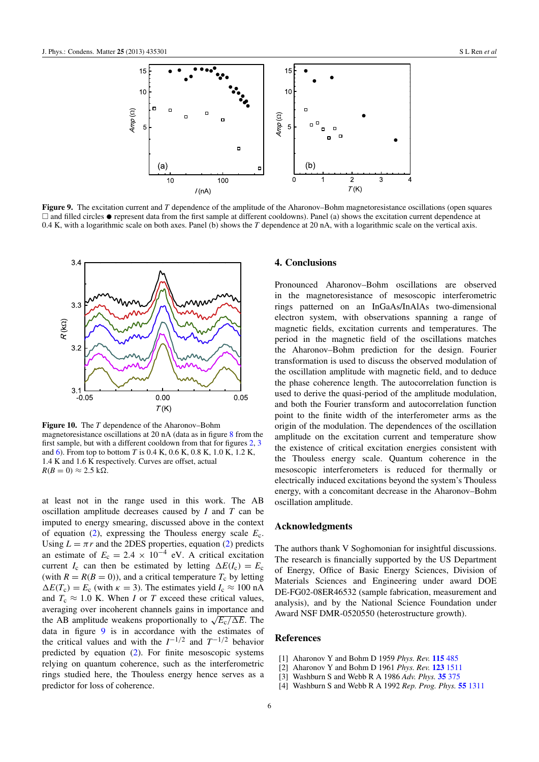<span id="page-5-4"></span>

Figure 9. The excitation current and *T* dependence of the amplitude of the Aharonov–Bohm magnetoresistance oscillations (open squares  $\Box$  and filled circles  $\bullet$  represent data from the first sample at different cooldowns). Panel (a) shows the excitation current dependence at 0.4 K, with a logarithmic scale on both axes. Panel (b) shows the *T* dependence at 20 nA, with a logarithmic scale on the vertical axis.

<span id="page-5-5"></span>

Figure 10. The *T* dependence of the Aharonov–Bohm magnetoresistance oscillations at 20 nA (data as in figure [8](#page-4-2) from the first sample, but with a different cooldown from that for figures [2,](#page-2-0) [3](#page-2-1) and [6\)](#page-4-0). From top to bottom *T* is 0.4 K, 0.6 K, 0.8 K, 1.0 K, 1.2 K, 1.4 K and 1.6 K respectively. Curves are offset, actual  $R(B=0) \approx 2.5 \text{ k}\Omega.$ 

at least not in the range used in this work. The AB oscillation amplitude decreases caused by *I* and *T* can be imputed to energy smearing, discussed above in the context of equation [\(2\)](#page-1-2), expressing the Thouless energy scale *E*c. Using  $L = \pi r$  and the 2DES properties, equation [\(2\)](#page-1-2) predicts an estimate of  $E_c = 2.4 \times 10^{-4}$  eV. A critical excitation current *I<sub>c</sub>* can then be estimated by letting  $\Delta E(I_c) = E_c$ (with  $R = R(B = 0)$ ), and a critical temperature  $T_c$  by letting  $\Delta E(T_c) = E_c$  (with  $\kappa = 3$ ). The estimates yield  $I_c \approx 100$  nA and  $T_c \approx 1.0$  K. When *I* or *T* exceed these critical values, averaging over incoherent channels gains in importance and averaging over inconerent channels gains in importance and<br>the AB amplitude weakens proportionally to  $\sqrt{E_c/\Delta E}$ . The data in figure [9](#page-5-4) is in accordance with the estimates of the critical values and with the  $I^{-1/2}$  and  $T^{-1/2}$  behavior predicted by equation [\(2\)](#page-1-2). For finite mesoscopic systems relying on quantum coherence, such as the interferometric rings studied here, the Thouless energy hence serves as a predictor for loss of coherence.

#### 4. Conclusions

Pronounced Aharonov–Bohm oscillations are observed in the magnetoresistance of mesoscopic interferometric rings patterned on an InGaAs/InAlAs two-dimensional electron system, with observations spanning a range of magnetic fields, excitation currents and temperatures. The period in the magnetic field of the oscillations matches the Aharonov–Bohm prediction for the design. Fourier transformation is used to discuss the observed modulation of the oscillation amplitude with magnetic field, and to deduce the phase coherence length. The autocorrelation function is used to derive the quasi-period of the amplitude modulation, and both the Fourier transform and autocorrelation function point to the finite width of the interferometer arms as the origin of the modulation. The dependences of the oscillation amplitude on the excitation current and temperature show the existence of critical excitation energies consistent with the Thouless energy scale. Quantum coherence in the mesoscopic interferometers is reduced for thermally or electrically induced excitations beyond the system's Thouless energy, with a concomitant decrease in the Aharonov–Bohm oscillation amplitude.

#### Acknowledgments

The authors thank V Soghomonian for insightful discussions. The research is financially supported by the US Department of Energy, Office of Basic Energy Sciences, Division of Materials Sciences and Engineering under award DOE DE-FG02-08ER46532 (sample fabrication, measurement and analysis), and by the National Science Foundation under Award NSF DMR-0520550 (heterostructure growth).

## References

- <span id="page-5-0"></span>[1] Aharonov Y and Bohm D 1959 *Phys. Rev.* [115](http://dx.doi.org/10.1103/PhysRev.115.485) [485](http://dx.doi.org/10.1103/PhysRev.115.485)
- <span id="page-5-1"></span>[2] Aharonov Y and Bohm D 1961 *Phys. Rev.* [123](http://dx.doi.org/10.1103/PhysRev.123.1511) [1511](http://dx.doi.org/10.1103/PhysRev.123.1511)
- <span id="page-5-2"></span>[3] Washburn S and Webb R A 1986 *Adv. Phys.* [35](http://dx.doi.org/10.1080/00018738600101921) [375](http://dx.doi.org/10.1080/00018738600101921)
- <span id="page-5-3"></span>[4] Washburn S and Webb R A 1992 *Rep. Prog. Phys.* [55](http://dx.doi.org/10.1088/0034-4885/55/8/004) [1311](http://dx.doi.org/10.1088/0034-4885/55/8/004)